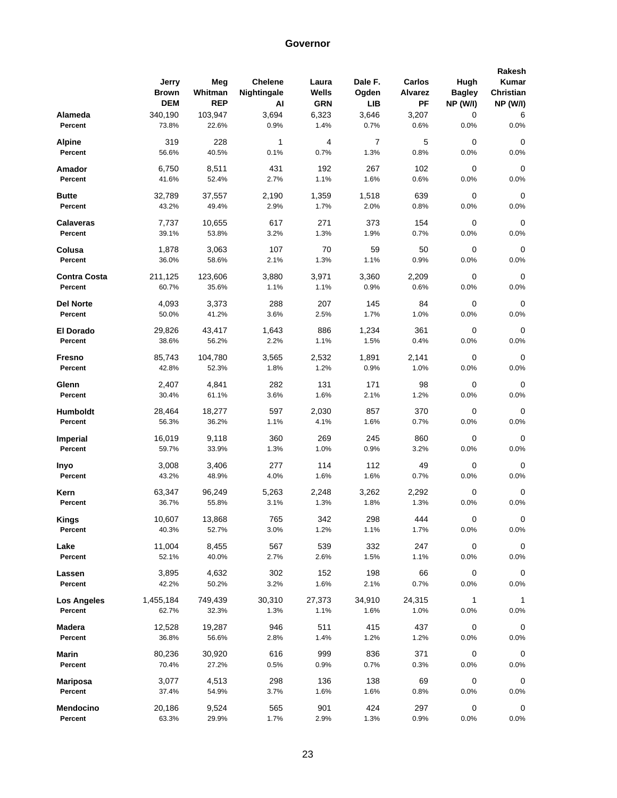|                             | Jerry           | Meg             | <b>Chelene</b> | Laura       | Dale F.     | Carlos      | Hugh            | Rakesh<br>Kumar |
|-----------------------------|-----------------|-----------------|----------------|-------------|-------------|-------------|-----------------|-----------------|
|                             | Brown           | Whitman         | Nightingale    | Wells       | Ogden       | Alvarez     | <b>Bagley</b>   | Christian       |
|                             | <b>DEM</b>      | <b>REP</b>      | Al             | <b>GRN</b>  | <b>LIB</b>  | PF          | <b>NP (W/I)</b> | <b>NP (W/I)</b> |
| Alameda                     | 340,190         | 103,947         | 3,694          | 6,323       | 3,646       | 3,207       | 0               | 6               |
| Percent                     | 73.8%           | 22.6%           | 0.9%           | 1.4%        | 0.7%        | 0.6%        | 0.0%            | 0.0%            |
| <b>Alpine</b>               | 319             | 228             | 1              | 4           | 7           | 5           | 0               | 0               |
| Percent                     | 56.6%           | 40.5%           | 0.1%           | 0.7%        | 1.3%        | 0.8%        | 0.0%            | 0.0%            |
| Amador                      | 6,750           | 8,511           | 431            | 192         | 267         | 102         | 0               | 0               |
| Percent                     | 41.6%           | 52.4%           | 2.7%           | 1.1%        | 1.6%        | 0.6%        | 0.0%            | 0.0%            |
| <b>Butte</b>                | 32,789          | 37,557          | 2,190          | 1,359       | 1,518       | 639         | 0               | 0               |
| Percent                     | 43.2%           | 49.4%           | 2.9%           | 1.7%        | 2.0%        | 0.8%        | 0.0%            | 0.0%            |
| <b>Calaveras</b>            | 7,737           | 10,655          | 617            | 271         | 373         | 154         | 0               | 0               |
| Percent                     | 39.1%           | 53.8%           | 3.2%           | 1.3%        | 1.9%        | 0.7%        | 0.0%            | 0.0%            |
| Colusa                      | 1,878           | 3,063           | 107            | 70          | 59          | 50          | 0               | 0               |
| Percent                     | 36.0%           | 58.6%           | 2.1%           | 1.3%        | 1.1%        | 0.9%        | 0.0%            | 0.0%            |
| <b>Contra Costa</b>         | 211,125         | 123,606         | 3,880          | 3,971       | 3,360       | 2,209       | 0               | 0               |
| Percent                     | 60.7%           | 35.6%           | 1.1%           | 1.1%        | 0.9%        | 0.6%        | 0.0%            | 0.0%            |
|                             |                 |                 |                |             |             |             |                 |                 |
| <b>Del Norte</b><br>Percent | 4,093<br>50.0%  | 3,373<br>41.2%  | 288<br>3.6%    | 207<br>2.5% | 145<br>1.7% | 84<br>1.0%  | 0<br>0.0%       | 0<br>0.0%       |
|                             |                 |                 |                |             |             |             |                 |                 |
| El Dorado                   | 29,826          | 43,417          | 1,643          | 886         | 1,234       | 361         | 0               | $\mathbf 0$     |
| Percent                     | 38.6%           | 56.2%           | 2.2%           | 1.1%        | 1.5%        | 0.4%        | 0.0%            | 0.0%            |
| Fresno                      | 85,743          | 104,780         | 3,565          | 2,532       | 1,891       | 2,141       | 0               | 0               |
| Percent                     | 42.8%           | 52.3%           | 1.8%           | 1.2%        | 0.9%        | 1.0%        | 0.0%            | 0.0%            |
| Glenn                       | 2,407           | 4,841           | 282            | 131         | 171         | 98          | 0               | $\mathbf 0$     |
| Percent                     | 30.4%           | 61.1%           | 3.6%           | 1.6%        | 2.1%        | 1.2%        | 0.0%            | 0.0%            |
| Humboldt                    | 28,464          | 18,277          | 597            | 2,030       | 857         | 370         | 0               | 0               |
| Percent                     | 56.3%           | 36.2%           | 1.1%           | 4.1%        | 1.6%        | 0.7%        | 0.0%            | 0.0%            |
| <b>Imperial</b>             | 16,019          | 9,118           | 360            | 269         | 245         | 860         | 0               | 0               |
| Percent                     | 59.7%           | 33.9%           | 1.3%           | 1.0%        | 0.9%        | 3.2%        | 0.0%            | 0.0%            |
|                             |                 |                 |                |             |             |             |                 |                 |
| Inyo<br>Percent             | 3,008<br>43.2%  | 3,406<br>48.9%  | 277<br>4.0%    | 114<br>1.6% | 112<br>1.6% | 49<br>0.7%  | 0<br>0.0%       | 0<br>0.0%       |
|                             |                 |                 |                |             |             |             |                 |                 |
| Kern                        | 63,347          | 96,249          | 5,263          | 2,248       | 3,262       | 2,292       | 0               | 0               |
| Percent                     | 36.7%           | 55.8%           | 3.1%           | 1.3%        | 1.8%        | 1.3%        | 0.0%            | 0.0%            |
| <b>Kings</b>                | 10,607          | 13,868          | 765            | 342         | 298         | 444         | 0               | $\Omega$        |
| Percent                     | 40.3%           | 52.7%           | 3.0%           | 1.2%        | 1.1%        | 1.7%        | 0.0%            | 0.0%            |
| Lake                        | 11,004          | 8,455           | 567            | 539         | 332         | 247         | 0               | 0               |
| Percent                     | 52.1%           | 40.0%           | 2.7%           | 2.6%        | 1.5%        | 1.1%        | 0.0%            | 0.0%            |
| Lassen                      | 3,895           | 4,632           | 302            | 152         | 198         | 66          | 0               | 0               |
| Percent                     | 42.2%           | 50.2%           | 3.2%           | 1.6%        | 2.1%        | 0.7%        | 0.0%            | 0.0%            |
| <b>Los Angeles</b>          | 1,455,184       | 749,439         | 30,310         | 27,373      | 34,910      | 24,315      | 1               | $\mathbf{1}$    |
| Percent                     | 62.7%           | 32.3%           | 1.3%           | 1.1%        | 1.6%        | 1.0%        | 0.0%            | 0.0%            |
|                             |                 |                 |                |             |             |             |                 |                 |
| Madera<br>Percent           | 12,528<br>36.8% | 19,287<br>56.6% | 946<br>2.8%    | 511<br>1.4% | 415<br>1.2% | 437<br>1.2% | 0<br>0.0%       | 0<br>0.0%       |
|                             |                 |                 |                |             |             |             |                 |                 |
| <b>Marin</b>                | 80,236          | 30,920          | 616            | 999         | 836         | 371         | 0               | $\mathbf 0$     |
| Percent                     | 70.4%           | 27.2%           | 0.5%           | 0.9%        | 0.7%        | 0.3%        | 0.0%            | 0.0%            |
| Mariposa                    | 3,077           | 4,513           | 298            | 136         | 138         | 69          | 0               | 0               |
| Percent                     | 37.4%           | 54.9%           | 3.7%           | 1.6%        | 1.6%        | 0.8%        | 0.0%            | 0.0%            |
| Mendocino                   | 20,186          | 9,524           | 565            | 901         | 424         | 297         | 0               | 0               |
| Percent                     | 63.3%           | 29.9%           | 1.7%           | 2.9%        | 1.3%        | $0.9\%$     | 0.0%            | 0.0%            |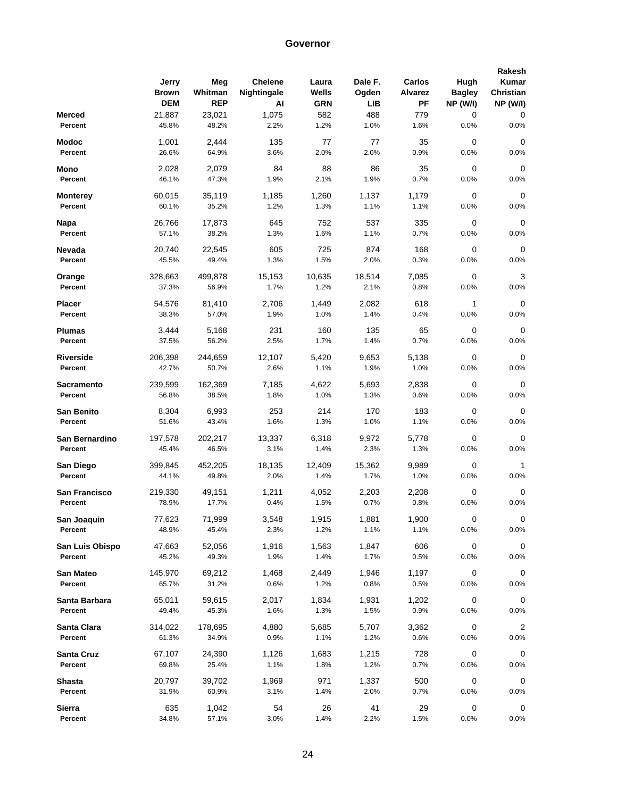|                      |            |            |                |            |         |                |                 | Rakesh          |
|----------------------|------------|------------|----------------|------------|---------|----------------|-----------------|-----------------|
|                      | Jerry      | Meg        | <b>Chelene</b> | Laura      | Dale F. | Carlos         | Hugh            | Kumar           |
|                      | Brown      | Whitman    | Nightingale    | Wells      | Ogden   | <b>Alvarez</b> | <b>Bagley</b>   | Christian       |
|                      | <b>DEM</b> | <b>REP</b> | Al             | <b>GRN</b> | LIB     | PF             | <b>NP (W/I)</b> | <b>NP (W/I)</b> |
| <b>Merced</b>        | 21,887     | 23,021     | 1,075          | 582        | 488     | 779            | 0               | 0               |
| Percent              | 45.8%      | 48.2%      | 2.2%           | 1.2%       | 1.0%    | 1.6%           | 0.0%            | 0.0%            |
| Modoc                | 1,001      | 2,444      | 135            | 77         | 77      | 35             | 0               | 0               |
| Percent              | 26.6%      | 64.9%      | 3.6%           | 2.0%       | 2.0%    | 0.9%           | 0.0%            | 0.0%            |
| Mono                 | 2,028      | 2,079      | 84             | 88         | 86      | 35             | 0               | 0               |
| Percent              | 46.1%      | 47.3%      | 1.9%           | 2.1%       | 1.9%    | 0.7%           | 0.0%            | 0.0%            |
| Monterey             | 60,015     | 35,119     | 1,185          | 1,260      | 1,137   | 1,179          | 0               | 0               |
| Percent              | 60.1%      | 35.2%      | 1.2%           | 1.3%       | 1.1%    | 1.1%           | 0.0%            | 0.0%            |
| Napa                 | 26,766     | 17,873     | 645            | 752        | 537     | 335            | 0               | 0               |
| Percent              | 57.1%      | 38.2%      | 1.3%           | 1.6%       | 1.1%    | 0.7%           | 0.0%            | 0.0%            |
| Nevada               | 20,740     | 22,545     | 605            | 725        | 874     | 168            | 0               | 0               |
| Percent              | 45.5%      | 49.4%      | 1.3%           | 1.5%       | 2.0%    | 0.3%           | 0.0%            | 0.0%            |
| Orange               | 328,663    | 499,878    | 15,153         | 10,635     | 18,514  | 7,085          | 0               | 3               |
| Percent              | 37.3%      | 56.9%      | 1.7%           | 1.2%       | 2.1%    | 0.8%           | 0.0%            | 0.0%            |
| Placer               | 54,576     | 81,410     | 2,706          | 1,449      | 2,082   | 618            | 1               | 0               |
| Percent              | 38.3%      | 57.0%      | 1.9%           | 1.0%       | 1.4%    | 0.4%           | 0.0%            | 0.0%            |
| Plumas               | 3,444      | 5,168      | 231            | 160        | 135     | 65             | 0               | $\mathbf 0$     |
| Percent              | 37.5%      | 56.2%      | 2.5%           | 1.7%       | 1.4%    | 0.7%           | 0.0%            | 0.0%            |
| Riverside            | 206,398    | 244,659    | 12.107         | 5,420      | 9,653   | 5,138          | 0               | 0               |
| Percent              | 42.7%      | 50.7%      | 2.6%           | 1.1%       | 1.9%    | 1.0%           | 0.0%            | 0.0%            |
| Sacramento           | 239,599    | 162,369    | 7,185          | 4,622      | 5,693   | 2,838          | 0               | $\mathbf 0$     |
| Percent              | 56.8%      | 38.5%      | 1.8%           | 1.0%       | 1.3%    | 0.6%           | 0.0%            | 0.0%            |
| <b>San Benito</b>    | 8,304      | 6,993      | 253            | 214        | 170     | 183            | 0               | 0               |
| Percent              | 51.6%      | 43.4%      | 1.6%           | 1.3%       | 1.0%    | 1.1%           | 0.0%            | 0.0%            |
| San Bernardino       | 197,578    | 202,217    | 13,337         | 6,318      | 9,972   | 5,778          | 0               | 0               |
| Percent              | 45.4%      | 46.5%      | 3.1%           | 1.4%       | 2.3%    | 1.3%           | 0.0%            | 0.0%            |
| San Diego            | 399,845    | 452,205    | 18,135         | 12,409     | 15,362  | 9,989          | 0               | 1               |
| Percent              | 44.1%      | 49.8%      | 2.0%           | 1.4%       | 1.7%    | 1.0%           | 0.0%            | 0.0%            |
| <b>San Francisco</b> | 219,330    | 49,151     | 1,211          | 4,052      | 2,203   | 2,208          | 0               | 0               |
| Percent              | 78.9%      | 17.7%      | 0.4%           | 1.5%       | 0.7%    | 0.8%           | 0.0%            | 0.0%            |
| San Joaquin          | 77,623     | 71,999     | 3,548          | 1,915      | 1,881   | 1,900          | 0               | $\Omega$        |
| Percent              | 48.9%      | 45.4%      | 2.3%           | 1.2%       | 1.1%    | 1.1%           | 0.0%            | 0.0%            |
| San Luis Obispo      | 47,663     | 52,056     | 1,916          | 1,563      | 1,847   | 606            | 0               | 0               |
| Percent              | 45.2%      | 49.3%      | 1.9%           | 1.4%       | 1.7%    | 0.5%           | 0.0%            | $0.0\%$         |
| San Mateo            | 145,970    | 69,212     | 1,468          | 2,449      | 1,946   | 1,197          | 0               | 0               |
| Percent              | 65.7%      | 31.2%      | 0.6%           | 1.2%       | 0.8%    | 0.5%           | 0.0%            | 0.0%            |
| Santa Barbara        | 65,011     | 59,615     | 2,017          | 1,834      | 1,931   | 1,202          | $\pmb{0}$       | 0               |
| Percent              | 49.4%      | 45.3%      | 1.6%           | 1.3%       | 1.5%    | 0.9%           | 0.0%            | 0.0%            |
| Santa Clara          | 314,022    | 178,695    | 4,880          | 5,685      | 5,707   | 3,362          | 0               | $\overline{2}$  |
| Percent              | 61.3%      | 34.9%      | 0.9%           | 1.1%       | 1.2%    | 0.6%           | 0.0%            | $0.0\%$         |
| Santa Cruz           | 67,107     | 24,390     | 1,126          | 1,683      | 1,215   | 728            | 0               | 0               |
| Percent              | 69.8%      | 25.4%      | 1.1%           | 1.8%       | 1.2%    | 0.7%           | 0.0%            | $0.0\%$         |
| Shasta               | 20,797     | 39,702     | 1,969          | 971        | 1,337   | 500            | 0               | 0               |
| Percent              | 31.9%      | 60.9%      | 3.1%           | 1.4%       | 2.0%    | 0.7%           | 0.0%            | 0.0%            |
| Sierra               | 635        | 1,042      | 54             | 26         | 41      | 29             | 0               | 0               |
| Percent              | 34.8%      | 57.1%      | 3.0%           | 1.4%       | 2.2%    | 1.5%           | 0.0%            | 0.0%            |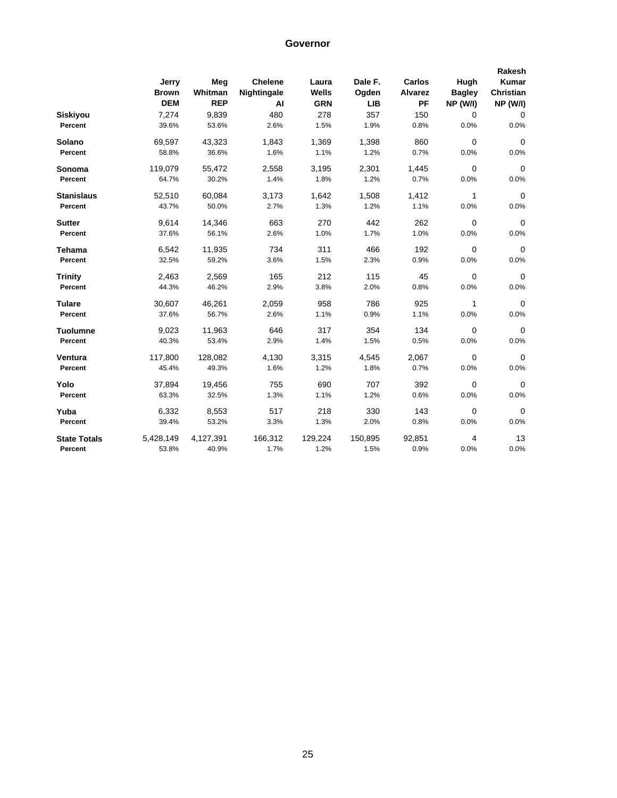|                     | Jerry        | Meg        | <b>Chelene</b> | Laura      | Dale F.    | Carlos         | Hugh            | Rakesh<br>Kumar |
|---------------------|--------------|------------|----------------|------------|------------|----------------|-----------------|-----------------|
|                     | <b>Brown</b> | Whitman    | Nightingale    | Wells      | Ogden      | <b>Alvarez</b> | <b>Bagley</b>   | Christian       |
|                     | <b>DEM</b>   | <b>REP</b> | AI             | <b>GRN</b> | <b>LIB</b> | <b>PF</b>      | <b>NP (W/I)</b> | <b>NP (W/I)</b> |
| Siskiyou            | 7,274        | 9,839      | 480            | 278        | 357        | 150            | $\Omega$        | $\mathbf 0$     |
| Percent             | 39.6%        | 53.6%      | 2.6%           | 1.5%       | 1.9%       | 0.8%           | 0.0%            | 0.0%            |
| Solano              | 69,597       | 43,323     | 1,843          | 1,369      | 1,398      | 860            | 0               | $\mathbf 0$     |
| Percent             | 58.8%        | 36.6%      | 1.6%           | 1.1%       | 1.2%       | 0.7%           | 0.0%            | 0.0%            |
| Sonoma              | 119,079      | 55,472     | 2,558          | 3,195      | 2,301      | 1,445          | 0               | $\mathbf 0$     |
| Percent             | 64.7%        | 30.2%      | 1.4%           | 1.8%       | 1.2%       | 0.7%           | 0.0%            | 0.0%            |
| <b>Stanislaus</b>   | 52,510       | 60,084     | 3,173          | 1,642      | 1,508      | 1,412          | 1               | $\mathbf 0$     |
| Percent             | 43.7%        | 50.0%      | 2.7%           | 1.3%       | 1.2%       | 1.1%           | 0.0%            | 0.0%            |
| <b>Sutter</b>       | 9,614        | 14,346     | 663            | 270        | 442        | 262            | 0               | $\mathbf 0$     |
| Percent             | 37.6%        | 56.1%      | 2.6%           | 1.0%       | 1.7%       | 1.0%           | 0.0%            | 0.0%            |
| <b>Tehama</b>       | 6,542        | 11,935     | 734            | 311        | 466        | 192            | $\mathbf 0$     | $\Omega$        |
| Percent             | 32.5%        | 59.2%      | 3.6%           | 1.5%       | 2.3%       | 0.9%           | 0.0%            | 0.0%            |
| <b>Trinity</b>      | 2,463        | 2,569      | 165            | 212        | 115        | 45             | 0               | $\mathbf 0$     |
| Percent             | 44.3%        | 46.2%      | 2.9%           | 3.8%       | 2.0%       | 0.8%           | 0.0%            | 0.0%            |
| <b>Tulare</b>       | 30,607       | 46,261     | 2,059          | 958        | 786        | 925            | 1               | $\Omega$        |
| Percent             | 37.6%        | 56.7%      | 2.6%           | 1.1%       | 0.9%       | 1.1%           | 0.0%            | 0.0%            |
| <b>Tuolumne</b>     | 9,023        | 11,963     | 646            | 317        | 354        | 134            | 0               | $\mathbf 0$     |
| Percent             | 40.3%        | 53.4%      | 2.9%           | 1.4%       | 1.5%       | 0.5%           | 0.0%            | 0.0%            |
| Ventura             | 117,800      | 128,082    | 4,130          | 3,315      | 4,545      | 2,067          | 0               | 0               |
| Percent             | 45.4%        | 49.3%      | 1.6%           | 1.2%       | 1.8%       | 0.7%           | 0.0%            | 0.0%            |
| Yolo                | 37,894       | 19,456     | 755            | 690        | 707        | 392            | 0               | $\Omega$        |
| Percent             | 63.3%        | 32.5%      | 1.3%           | 1.1%       | 1.2%       | 0.6%           | 0.0%            | 0.0%            |
| Yuba                | 6,332        | 8,553      | 517            | 218        | 330        | 143            | 0               | $\mathbf 0$     |
| Percent             | 39.4%        | 53.2%      | 3.3%           | 1.3%       | 2.0%       | 0.8%           | 0.0%            | 0.0%            |
| <b>State Totals</b> | 5,428,149    | 4,127,391  | 166,312        | 129,224    | 150,895    | 92,851         | 4               | 13              |
| Percent             | 53.8%        | 40.9%      | 1.7%           | 1.2%       | 1.5%       | 0.9%           | 0.0%            | 0.0%            |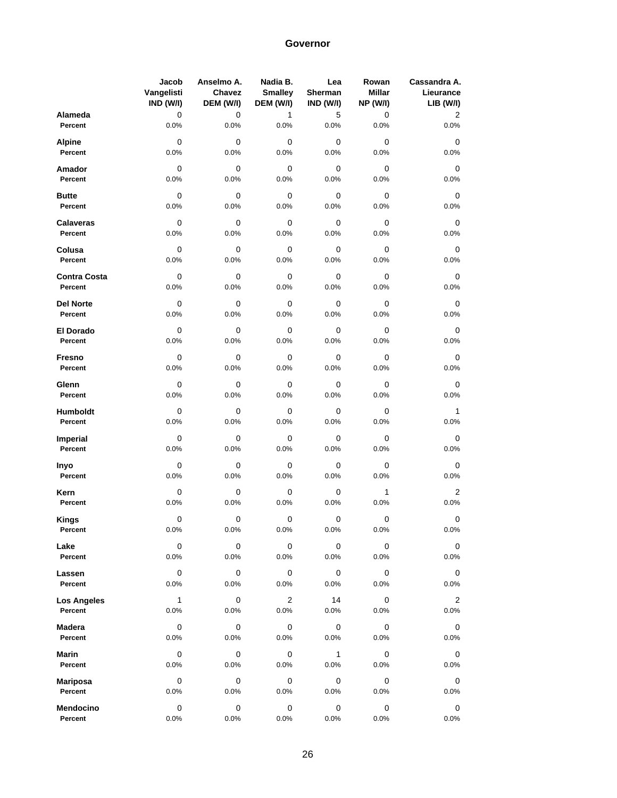|                     | Jacob        | Anselmo A. | Nadia B.       | Lea       | Rowan           | Cassandra A.   |
|---------------------|--------------|------------|----------------|-----------|-----------------|----------------|
|                     | Vangelisti   | Chavez     | <b>Smalley</b> | Sherman   | <b>Millar</b>   | Lieurance      |
|                     | IND (W/I)    | DEM (W/I)  | DEM (W/I)      | IND (W/I) | <b>NP (W/I)</b> | LIB (W/I)      |
| Alameda             | 0            | 0          | 1              | 5         | 0               | 2              |
| Percent             | 0.0%         | 0.0%       | 0.0%           | 0.0%      | 0.0%            | 0.0%           |
| <b>Alpine</b>       | 0            | 0          | 0              | 0         | 0               | 0              |
| Percent             | 0.0%         | 0.0%       | 0.0%           | 0.0%      | 0.0%            | 0.0%           |
| Amador              | 0            | 0          | 0              | 0         | 0               | 0              |
| Percent             | 0.0%         | 0.0%       | 0.0%           | 0.0%      | 0.0%            | 0.0%           |
| <b>Butte</b>        | $\mathbf 0$  | 0          | 0              | 0         | 0               | 0              |
| Percent             | 0.0%         | 0.0%       | 0.0%           | 0.0%      | 0.0%            | 0.0%           |
| <b>Calaveras</b>    | 0            | 0          | 0              | 0         | 0               | 0              |
| Percent             | 0.0%         | 0.0%       | 0.0%           | 0.0%      | 0.0%            | 0.0%           |
| Colusa              | 0            | 0          | 0              | 0         | 0               | 0              |
| Percent             | 0.0%         | 0.0%       | 0.0%           | 0.0%      | 0.0%            | 0.0%           |
| <b>Contra Costa</b> | 0            | 0          | 0              | 0         | 0               | 0              |
| Percent             | 0.0%         | 0.0%       | 0.0%           | 0.0%      | 0.0%            | 0.0%           |
| <b>Del Norte</b>    | 0            | 0          | 0              | 0         | 0               | 0              |
| Percent             | 0.0%         | 0.0%       | 0.0%           | 0.0%      | 0.0%            | 0.0%           |
| El Dorado           | 0            | 0          | 0              | 0         | 0               | 0              |
| Percent             | 0.0%         | 0.0%       | 0.0%           | 0.0%      | 0.0%            | 0.0%           |
| Fresno              | 0            | 0          | 0              | 0         | 0               | 0              |
| Percent             | 0.0%         | 0.0%       | 0.0%           | 0.0%      | 0.0%            | 0.0%           |
| Glenn               | 0            | 0          | 0              | 0         | 0               | 0              |
| Percent             | 0.0%         | 0.0%       | 0.0%           | 0.0%      | 0.0%            | 0.0%           |
| Humboldt            | 0            | 0          | 0              | 0         | 0               | $\mathbf{1}$   |
| Percent             | 0.0%         | 0.0%       | 0.0%           | 0.0%      | 0.0%            | 0.0%           |
| <b>Imperial</b>     | 0            | 0          | 0              | 0         | 0               | 0              |
| Percent             | 0.0%         | 0.0%       | 0.0%           | 0.0%      | 0.0%            | 0.0%           |
| Inyo                | 0            | 0          | 0              | 0         | 0               | 0              |
| Percent             | 0.0%         | 0.0%       | 0.0%           | 0.0%      | 0.0%            | 0.0%           |
| Kern                | 0            | 0          | 0              | 0         | $\mathbf{1}$    | 2              |
| Percent             | 0.0%         | 0.0%       | 0.0%           | 0.0%      | 0.0%            | 0.0%           |
| <b>Kings</b>        | 0            | 0          | 0              | 0         | 0               | 0              |
| Percent             | 0.0%         | 0.0%       | 0.0%           | 0.0%      | 0.0%            | 0.0%           |
| Lake                | 0            | 0          | 0              | 0         | 0               | 0              |
| Percent             | 0.0%         | 0.0%       | 0.0%           | 0.0%      | 0.0%            | 0.0%           |
| Lassen              | 0            | 0          | 0              | 0         | 0               | 0              |
| Percent             | 0.0%         | 0.0%       | 0.0%           | 0.0%      | 0.0%            | 0.0%           |
| <b>Los Angeles</b>  | $\mathbf{1}$ | 0          | 2              | 14        | 0               | $\overline{2}$ |
| Percent             | 0.0%         | 0.0%       | 0.0%           | 0.0%      | 0.0%            | 0.0%           |
| Madera              | 0            | 0          | 0              | 0         | 0               | 0              |
| Percent             | 0.0%         | 0.0%       | 0.0%           | 0.0%      | 0.0%            | 0.0%           |
| <b>Marin</b>        | 0            | 0          | 0              | 1         | 0               | 0              |
| Percent             | 0.0%         | 0.0%       | 0.0%           | 0.0%      | 0.0%            | 0.0%           |
| <b>Mariposa</b>     | 0            | 0          | 0              | 0         | 0               | 0              |
| Percent             | 0.0%         | 0.0%       | 0.0%           | 0.0%      | 0.0%            | 0.0%           |
| Mendocino           | $\pmb{0}$    | 0          | 0              | 0         | 0               | 0              |
| Percent             | 0.0%         | 0.0%       | 0.0%           | 0.0%      | 0.0%            | 0.0%           |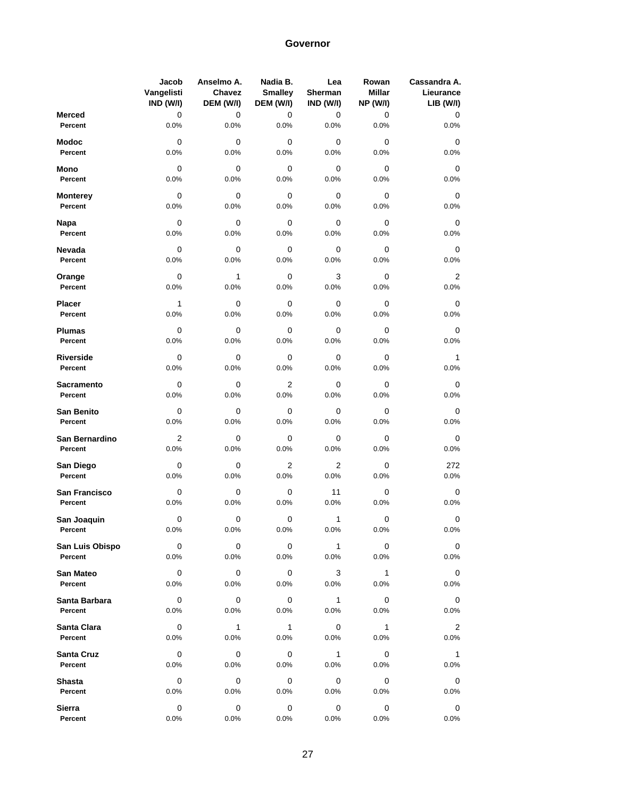|                          | Jacob<br>Vangelisti<br>IND (W/I) | Anselmo A.<br>Chavez<br>DEM (W/I) | Nadia B.<br><b>Smalley</b><br>DEM (W/I) | Lea<br>Sherman<br>IND (W/I) | Rowan<br><b>Millar</b><br><b>NP (W/I)</b> | Cassandra A.<br>Lieurance<br><b>LIB (W/I)</b> |
|--------------------------|----------------------------------|-----------------------------------|-----------------------------------------|-----------------------------|-------------------------------------------|-----------------------------------------------|
| <b>Merced</b><br>Percent | 0<br>0.0%                        | 0<br>0.0%                         | 0<br>0.0%                               | 0<br>0.0%                   | 0<br>0.0%                                 | 0<br>0.0%                                     |
|                          |                                  |                                   |                                         |                             |                                           |                                               |
| <b>Modoc</b><br>Percent  | 0<br>0.0%                        | 0<br>0.0%                         | 0<br>0.0%                               | 0<br>0.0%                   | 0<br>0.0%                                 | 0<br>0.0%                                     |
| Mono                     | 0                                | 0                                 | 0                                       | 0                           | 0                                         | 0                                             |
| Percent                  | 0.0%                             | 0.0%                              | 0.0%                                    | 0.0%                        | 0.0%                                      | 0.0%                                          |
| <b>Monterey</b>          | $\mathbf 0$                      | 0                                 | 0                                       | 0                           | 0                                         | 0                                             |
| Percent                  | 0.0%                             | 0.0%                              | 0.0%                                    | 0.0%                        | 0.0%                                      | 0.0%                                          |
| Napa                     | 0                                | 0                                 | 0                                       | 0                           | 0                                         | 0                                             |
| Percent                  | 0.0%                             | 0.0%                              | 0.0%                                    | 0.0%                        | 0.0%                                      | 0.0%                                          |
| Nevada                   | 0                                | 0                                 | 0                                       | 0                           | 0                                         | 0                                             |
| Percent                  | 0.0%                             | 0.0%                              | 0.0%                                    | 0.0%                        | 0.0%                                      | 0.0%                                          |
| Orange                   | 0                                | 1                                 | 0                                       | 3                           | 0                                         | 2                                             |
| Percent                  | 0.0%                             | 0.0%                              | 0.0%                                    | 0.0%                        | 0.0%                                      | 0.0%                                          |
| <b>Placer</b>            | $\mathbf{1}$                     | 0                                 | 0                                       | 0                           | 0                                         | 0                                             |
| Percent                  | 0.0%                             | 0.0%                              | 0.0%                                    | 0.0%                        | 0.0%                                      | 0.0%                                          |
| <b>Plumas</b>            | 0                                | 0                                 | 0                                       | 0                           | 0                                         | 0                                             |
| Percent                  | 0.0%                             | 0.0%                              | 0.0%                                    | 0.0%                        | 0.0%                                      | 0.0%                                          |
| Riverside                | 0                                | 0                                 | 0                                       | 0                           | 0                                         | 1                                             |
| Percent                  | 0.0%                             | 0.0%                              | 0.0%                                    | 0.0%                        | 0.0%                                      | 0.0%                                          |
| <b>Sacramento</b>        | 0                                | 0                                 | 2                                       | 0                           | 0                                         | 0                                             |
| Percent                  | 0.0%                             | 0.0%                              | 0.0%                                    | 0.0%                        | 0.0%                                      | $0.0\%$                                       |
| San Benito               | 0                                | 0                                 | 0                                       | 0                           | 0                                         | 0                                             |
| Percent                  | 0.0%                             | 0.0%                              | 0.0%                                    | 0.0%                        | 0.0%                                      | 0.0%                                          |
| San Bernardino           | 2                                | 0                                 | 0                                       | 0                           | 0                                         | 0                                             |
| Percent                  | 0.0%                             | 0.0%                              | 0.0%                                    | 0.0%                        | 0.0%                                      | 0.0%                                          |
| San Diego                | 0                                | 0                                 | 2                                       | 2                           | 0                                         | 272                                           |
| Percent                  | 0.0%                             | 0.0%                              | 0.0%                                    | 0.0%                        | 0.0%                                      | 0.0%                                          |
| San Francisco            | 0                                | 0                                 | 0                                       | 11                          | 0                                         | 0                                             |
| Percent                  | 0.0%                             | 0.0%                              | 0.0%                                    | 0.0%                        | 0.0%                                      | 0.0%                                          |
| San Joaquin              | 0                                | 0                                 | 0                                       | 1                           | 0                                         | 0                                             |
| Percent                  | 0.0%                             | 0.0%                              | 0.0%                                    | 0.0%                        | 0.0%                                      | 0.0%                                          |
| San Luis Obispo          | 0                                | 0                                 | 0                                       | $\mathbf{1}$                | 0                                         | 0                                             |
| Percent                  | 0.0%                             | 0.0%                              | 0.0%                                    | 0.0%                        | 0.0%                                      | 0.0%                                          |
| San Mateo                | $\overline{0}$                   | 0                                 | 0                                       | 3                           | $\overline{1}$                            | 0                                             |
| Percent                  | 0.0%                             | 0.0%                              | $0.0\%$                                 | 0.0%                        | $0.0\%$                                   | $0.0\%$                                       |
| Santa Barbara            | $\mathbf 0$                      | 0                                 | 0                                       | 1                           | 0                                         | 0                                             |
| Percent                  | 0.0%                             | 0.0%                              | 0.0%                                    | 0.0%                        | 0.0%                                      | 0.0%                                          |
| Santa Clara              | $\mathbf 0$                      | $\mathbf{1}$                      | $\mathbf{1}$                            | 0                           | $\mathbf{1}$                              | 2                                             |
| Percent                  | 0.0%                             | 0.0%                              | 0.0%                                    | 0.0%                        | 0.0%                                      | 0.0%                                          |
| Santa Cruz               | $\mathbf 0$                      | 0                                 | 0                                       | $\mathbf{1}$                | 0                                         | $\mathbf{1}$                                  |
| Percent                  | 0.0%                             | 0.0%                              | 0.0%                                    | 0.0%                        | 0.0%                                      | 0.0%                                          |
| <b>Shasta</b>            | 0                                | 0                                 | 0                                       | 0                           | 0                                         | 0                                             |
| Percent                  | 0.0%                             | 0.0%                              | $0.0\%$                                 | 0.0%                        | 0.0%                                      | $0.0\%$                                       |
| Sierra                   | 0                                | 0                                 | 0                                       | 0                           | 0                                         | 0                                             |
| Percent                  | 0.0%                             | 0.0%                              | 0.0%                                    | 0.0%                        | 0.0%                                      | 0.0%                                          |